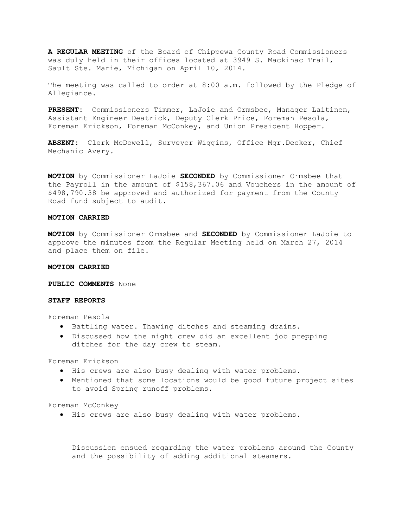**A REGULAR MEETING** of the Board of Chippewa County Road Commissioners was duly held in their offices located at 3949 S. Mackinac Trail, Sault Ste. Marie, Michigan on April 10, 2014.

The meeting was called to order at 8:00 a.m. followed by the Pledge of Allegiance.

**PRESENT:** Commissioners Timmer, LaJoie and Ormsbee, Manager Laitinen, Assistant Engineer Deatrick, Deputy Clerk Price, Foreman Pesola, Foreman Erickson, Foreman McConkey, and Union President Hopper.

**ABSENT:** Clerk McDowell, Surveyor Wiggins, Office Mgr.Decker, Chief Mechanic Avery.

**MOTION** by Commissioner LaJoie **SECONDED** by Commissioner Ormsbee that the Payroll in the amount of \$158,367.06 and Vouchers in the amount of \$498,790.38 be approved and authorized for payment from the County Road fund subject to audit.

## **MOTION CARRIED**

**MOTION** by Commissioner Ormsbee and **SECONDED** by Commissioner LaJoie to approve the minutes from the Regular Meeting held on March 27, 2014 and place them on file.

## **MOTION CARRIED**

**PUBLIC COMMENTS** None

# **STAFF REPORTS**

Foreman Pesola

- · Battling water. Thawing ditches and steaming drains.
- · Discussed how the night crew did an excellent job prepping ditches for the day crew to steam.

Foreman Erickson

- · His crews are also busy dealing with water problems.
- · Mentioned that some locations would be good future project sites to avoid Spring runoff problems.

Foreman McConkey

· His crews are also busy dealing with water problems.

Discussion ensued regarding the water problems around the County and the possibility of adding additional steamers.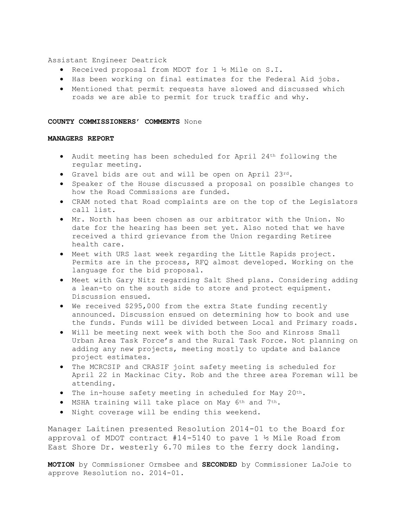Assistant Engineer Deatrick

- · Received proposal from MDOT for 1 ½ Mile on S.I.
- · Has been working on final estimates for the Federal Aid jobs.
- · Mentioned that permit requests have slowed and discussed which roads we are able to permit for truck traffic and why.

## **COUNTY COMMISSIONERS' COMMENTS** None

# **MANAGERS REPORT**

- · Audit meeting has been scheduled for April 24th following the regular meeting.
- · Gravel bids are out and will be open on April 23rd.
- · Speaker of the House discussed a proposal on possible changes to how the Road Commissions are funded.
- · CRAM noted that Road complaints are on the top of the Legislators call list.
- · Mr. North has been chosen as our arbitrator with the Union. No date for the hearing has been set yet. Also noted that we have received a third grievance from the Union regarding Retiree health care.
- · Meet with URS last week regarding the Little Rapids project. Permits are in the process, RFQ almost developed. Working on the language for the bid proposal.
- · Meet with Gary Nitz regarding Salt Shed plans. Considering adding a lean-to on the south side to store and protect equipment. Discussion ensued.
- · We received \$295,000 from the extra State funding recently announced. Discussion ensued on determining how to book and use the funds. Funds will be divided between Local and Primary roads.
- · Will be meeting next week with both the Soo and Kinross Small Urban Area Task Force's and the Rural Task Force. Not planning on adding any new projects, meeting mostly to update and balance project estimates.
- · The MCRCSIP and CRASIF joint safety meeting is scheduled for April 22 in Mackinac City. Rob and the three area Foreman will be attending.
- · The in-house safety meeting in scheduled for May 20th.
- · MSHA training will take place on May 6th and 7th.
- · Night coverage will be ending this weekend.

Manager Laitinen presented Resolution 2014-01 to the Board for approval of MDOT contract  $#14-5140$  to pave 1 ½ Mile Road from East Shore Dr. westerly 6.70 miles to the ferry dock landing.

**MOTION** by Commissioner Ormsbee and **SECONDED** by Commissioner LaJoie to approve Resolution no. 2014-01.